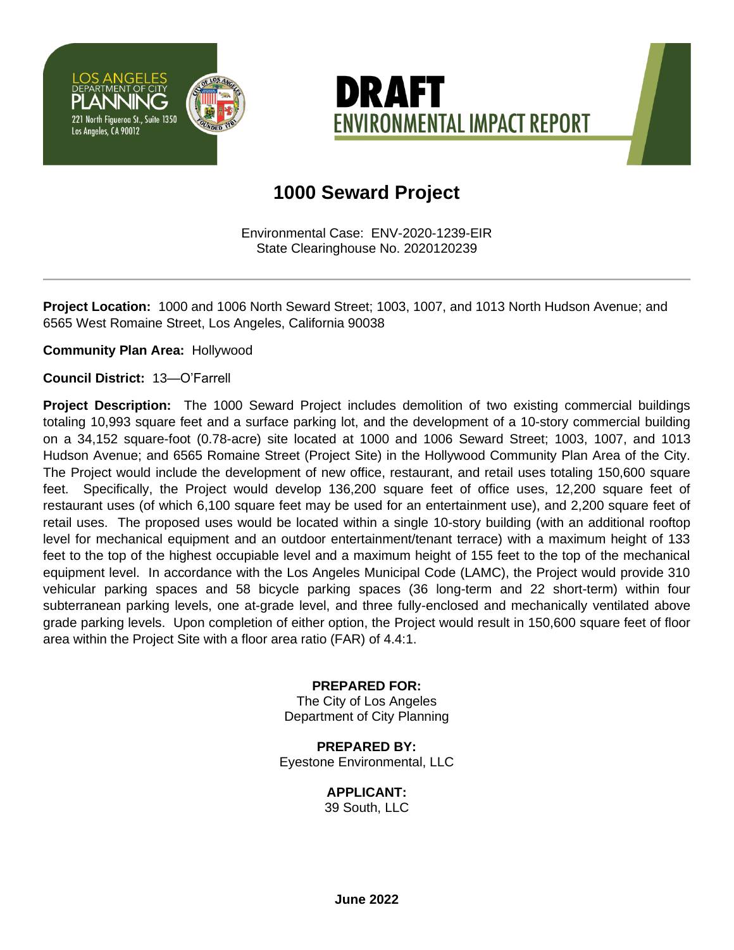



## **1000 Seward Project**

Environmental Case: ENV-2020-1239-EIR State Clearinghouse No. 2020120239

**Project Location:** 1000 and 1006 North Seward Street; 1003, 1007, and 1013 North Hudson Avenue; and 6565 West Romaine Street, Los Angeles, California 90038

**Community Plan Area:** Hollywood

**Council District:** 13—O'Farrell

**Project Description:** The 1000 Seward Project includes demolition of two existing commercial buildings totaling 10,993 square feet and a surface parking lot, and the development of a 10-story commercial building on a 34,152 square-foot (0.78-acre) site located at 1000 and 1006 Seward Street; 1003, 1007, and 1013 Hudson Avenue; and 6565 Romaine Street (Project Site) in the Hollywood Community Plan Area of the City. The Project would include the development of new office, restaurant, and retail uses totaling 150,600 square feet. Specifically, the Project would develop 136,200 square feet of office uses, 12,200 square feet of restaurant uses (of which 6,100 square feet may be used for an entertainment use), and 2,200 square feet of retail uses. The proposed uses would be located within a single 10-story building (with an additional rooftop level for mechanical equipment and an outdoor entertainment/tenant terrace) with a maximum height of 133 feet to the top of the highest occupiable level and a maximum height of 155 feet to the top of the mechanical equipment level. In accordance with the Los Angeles Municipal Code (LAMC), the Project would provide 310 vehicular parking spaces and 58 bicycle parking spaces (36 long-term and 22 short-term) within four subterranean parking levels, one at-grade level, and three fully-enclosed and mechanically ventilated above grade parking levels. Upon completion of either option, the Project would result in 150,600 square feet of floor area within the Project Site with a floor area ratio (FAR) of 4.4:1.

#### **PREPARED FOR:**

The City of Los Angeles Department of City Planning

**PREPARED BY:** Eyestone Environmental, LLC

#### **APPLICANT:**

39 South, LLC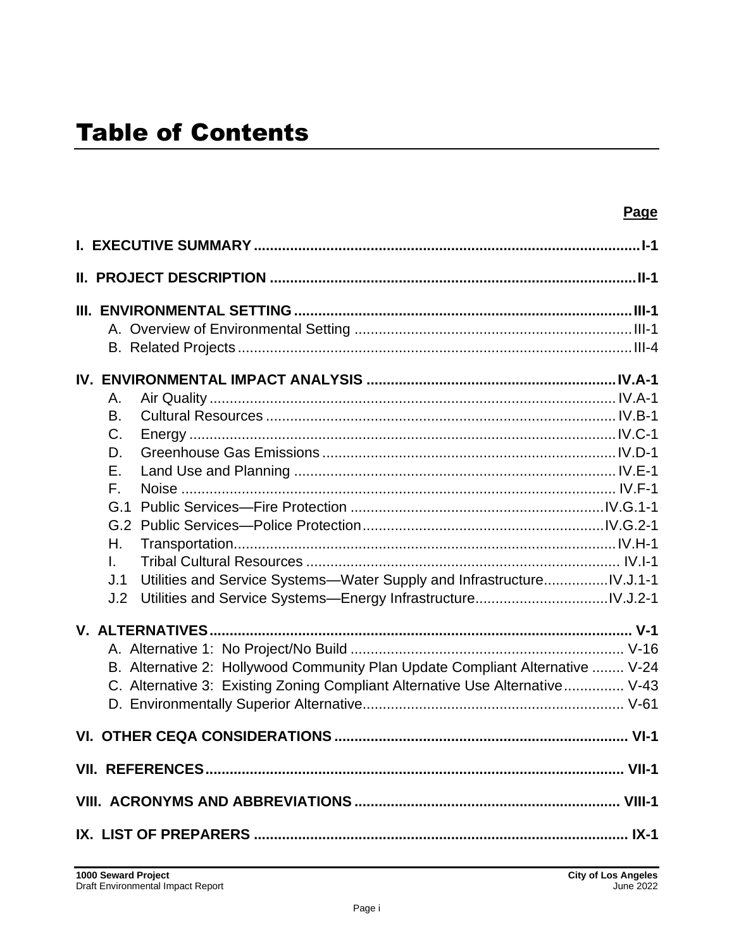| Page                                                                          |
|-------------------------------------------------------------------------------|
|                                                                               |
| <u>II. PROJECT DESCRIPTION ………………………………………………………………………………II-1</u>             |
|                                                                               |
|                                                                               |
|                                                                               |
|                                                                               |
|                                                                               |
| Α.                                                                            |
| B.                                                                            |
| $C_{\cdot}$                                                                   |
| D.                                                                            |
| Ε.                                                                            |
| $F_{\perp}$                                                                   |
| G.1                                                                           |
|                                                                               |
| Η.                                                                            |
| $\mathbf{L}$                                                                  |
| Utilities and Service Systems-Water Supply and InfrastructureIV.J.1-1<br>J.1  |
| J.2                                                                           |
|                                                                               |
|                                                                               |
| B. Alternative 2: Hollywood Community Plan Update Compliant Alternative  V-24 |
| C. Alternative 3: Existing Zoning Compliant Alternative Use Alternative V-43  |
|                                                                               |
|                                                                               |
|                                                                               |
|                                                                               |
| IX. LIST OF PREPARERS ………………………………………………………………………………………… IX-1                 |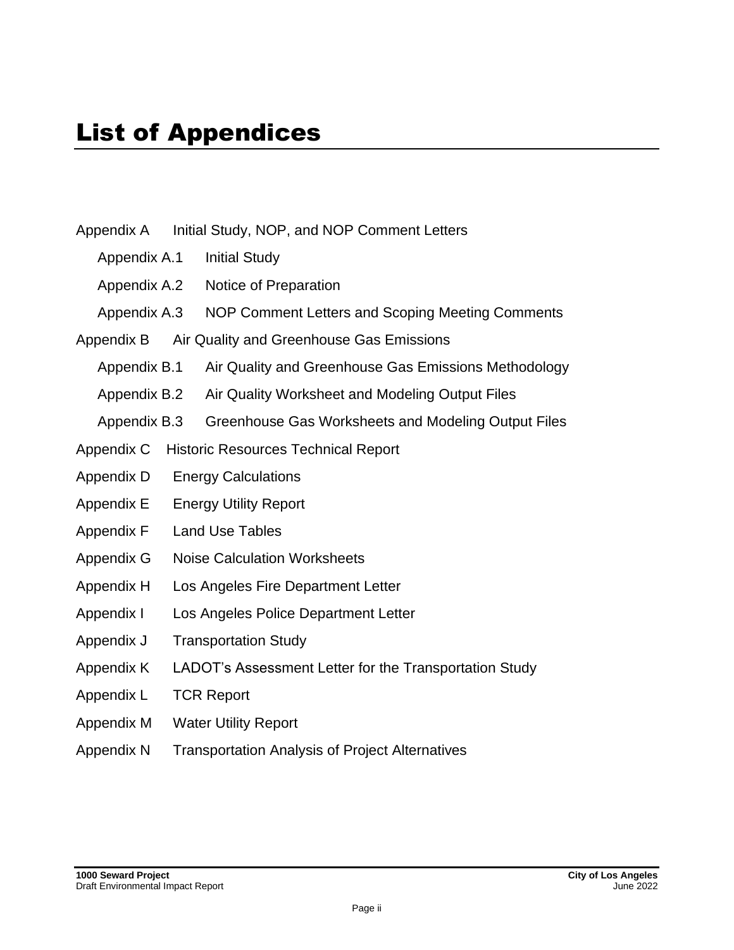- Appendix A Initial Study, NOP, and NOP Comment Letters
	- Appendix A.1 Initial Study
	- Appendix A.2 Notice of Preparation
	- Appendix A.3 NOP Comment Letters and Scoping Meeting Comments
- Appendix B Air Quality and Greenhouse Gas Emissions
	- Appendix B.1 Air Quality and Greenhouse Gas Emissions Methodology
	- Appendix B.2 Air Quality Worksheet and Modeling Output Files
	- Appendix B.3 Greenhouse Gas Worksheets and Modeling Output Files
- Appendix C Historic Resources Technical Report
- Appendix D Energy Calculations
- Appendix E Energy Utility Report
- Appendix F Land Use Tables
- Appendix G Noise Calculation Worksheets
- Appendix H Los Angeles Fire Department Letter
- Appendix I Los Angeles Police Department Letter
- Appendix J Transportation Study
- Appendix K LADOT's Assessment Letter for the Transportation Study
- Appendix L TCR Report
- Appendix M Water Utility Report
- Appendix N Transportation Analysis of Project Alternatives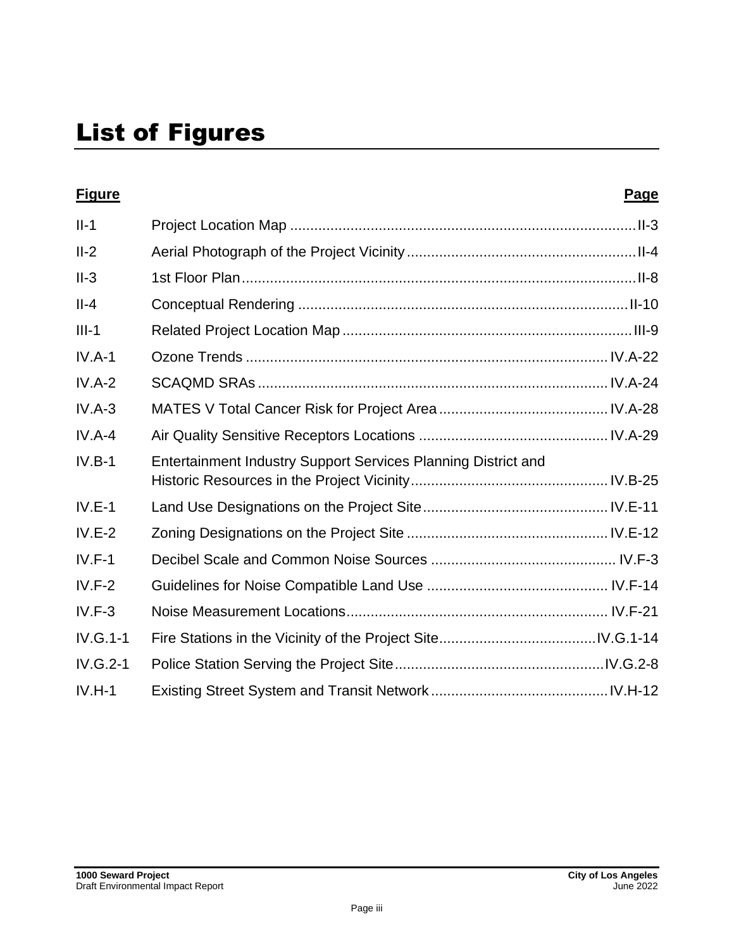| <b>Figure</b> |                                                               | Page |
|---------------|---------------------------------------------------------------|------|
| $II-1$        |                                                               |      |
| $II-2$        |                                                               |      |
| $II-3$        |                                                               |      |
| $II-4$        |                                                               |      |
| $III-1$       |                                                               |      |
| $IV.A-1$      |                                                               |      |
| $IV.A-2$      |                                                               |      |
| $IV.A-3$      |                                                               |      |
| $IV.A-4$      |                                                               |      |
| $IV.B-1$      | Entertainment Industry Support Services Planning District and |      |
| $IV.E-1$      |                                                               |      |
| $IV.E-2$      |                                                               |      |
| $IV.F-1$      |                                                               |      |
| $IV.F-2$      |                                                               |      |
| $IV.F-3$      |                                                               |      |
| $IV.G.1-1$    |                                                               |      |
| $IV.G.2-1$    |                                                               |      |
| $IV.H-1$      |                                                               |      |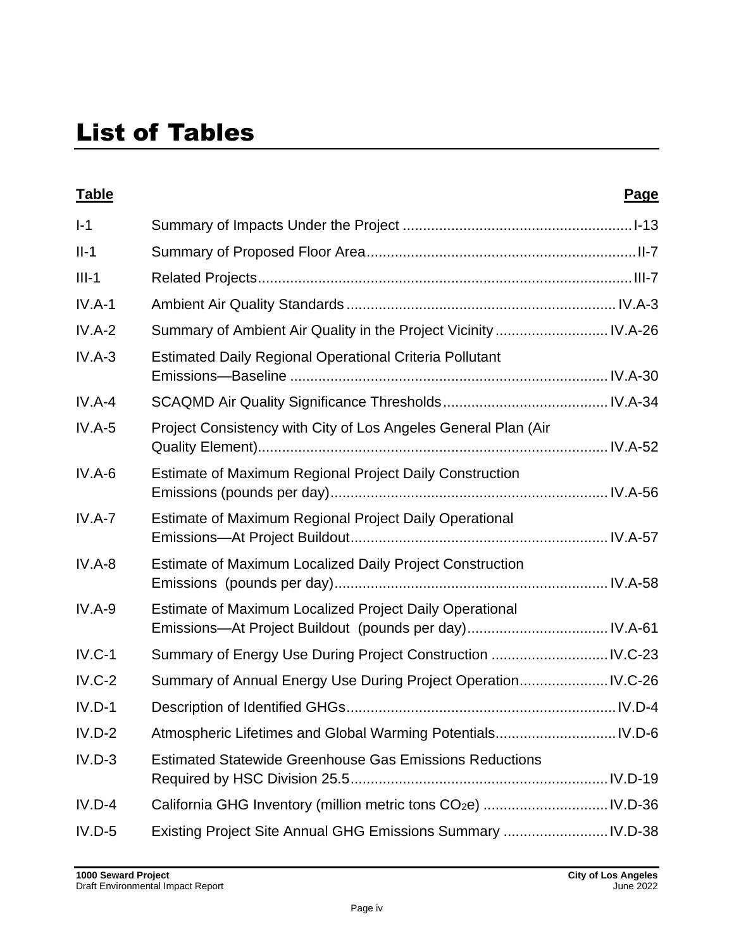# List of Tables

| <b>Table</b> |                                                                 | Page |
|--------------|-----------------------------------------------------------------|------|
| $I-1$        |                                                                 |      |
| $II-1$       |                                                                 |      |
| $III-1$      |                                                                 |      |
| $IV.A-1$     |                                                                 |      |
| $IV.A-2$     | Summary of Ambient Air Quality in the Project Vicinity  IV.A-26 |      |
| $IV.A-3$     | <b>Estimated Daily Regional Operational Criteria Pollutant</b>  |      |
| $IV.A-4$     |                                                                 |      |
| $IV.A-5$     | Project Consistency with City of Los Angeles General Plan (Air  |      |
| $IV.A-6$     | Estimate of Maximum Regional Project Daily Construction         |      |
| $IV.A-7$     | Estimate of Maximum Regional Project Daily Operational          |      |
| $IV.A-8$     | Estimate of Maximum Localized Daily Project Construction        |      |
| $IV.A-9$     | Estimate of Maximum Localized Project Daily Operational         |      |
| $IV.C-1$     | Summary of Energy Use During Project Construction  IV.C-23      |      |
| $IV.C-2$     | Summary of Annual Energy Use During Project Operation IV.C-26   |      |
| $IV.D-1$     |                                                                 |      |
| $IV.D-2$     |                                                                 |      |
| $IV.D-3$     | <b>Estimated Statewide Greenhouse Gas Emissions Reductions</b>  |      |
| $IV.D-4$     |                                                                 |      |
| $IV.D-5$     | Existing Project Site Annual GHG Emissions Summary  IV.D-38     |      |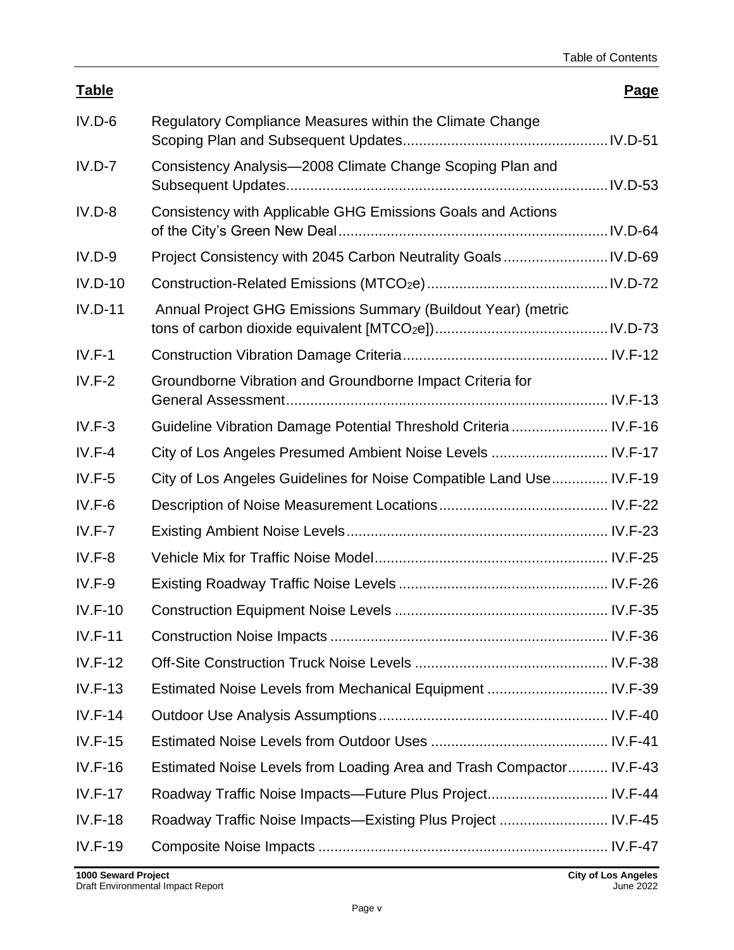| <b>Table</b>   |                                                                      | Page |
|----------------|----------------------------------------------------------------------|------|
| $IV.D-6$       | Regulatory Compliance Measures within the Climate Change             |      |
| $IV.D-7$       | Consistency Analysis-2008 Climate Change Scoping Plan and            |      |
| $IV.D-8$       | Consistency with Applicable GHG Emissions Goals and Actions          |      |
| $IV.D-9$       |                                                                      |      |
| $IV.D-10$      |                                                                      |      |
| $IV.D-11$      | Annual Project GHG Emissions Summary (Buildout Year) (metric         |      |
| $IV.F-1$       |                                                                      |      |
| $IV.F-2$       | Groundborne Vibration and Groundborne Impact Criteria for            |      |
| $IV.F-3$       | Guideline Vibration Damage Potential Threshold Criteria  IV.F-16     |      |
| $IV.F-4$       | City of Los Angeles Presumed Ambient Noise Levels  IV.F-17           |      |
| $IV.F-5$       | City of Los Angeles Guidelines for Noise Compatible Land Use IV.F-19 |      |
| $IV.F-6$       |                                                                      |      |
| $IV.F-7$       |                                                                      |      |
| $IV.F-8$       |                                                                      |      |
| $IV.F-9$       |                                                                      |      |
| $IV.F-10$      |                                                                      |      |
| $IV.F-11$      |                                                                      |      |
| $IV.F-12$      |                                                                      |      |
| $IV.F-13$      | Estimated Noise Levels from Mechanical Equipment  IV.F-39            |      |
| $IV.F-14$      |                                                                      |      |
| $IV.F-15$      |                                                                      |      |
| $IV.F-16$      | Estimated Noise Levels from Loading Area and Trash Compactor IV.F-43 |      |
| $IV.F-17$      | Roadway Traffic Noise Impacts—Future Plus Project IV.F-44            |      |
| $IV.F-18$      | Roadway Traffic Noise Impacts-Existing Plus Project  IV.F-45         |      |
| <b>IV.F-19</b> |                                                                      |      |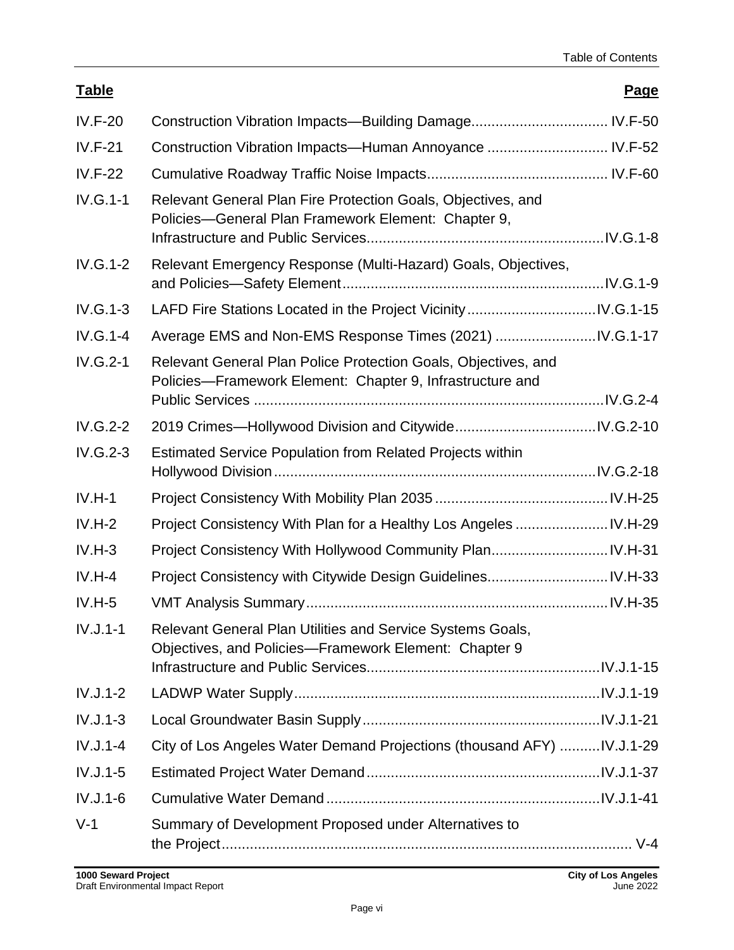### **Table Page**

| $IV.F-20$  |                                                                                                                             |  |
|------------|-----------------------------------------------------------------------------------------------------------------------------|--|
| $IV.F-21$  | Construction Vibration Impacts-Human Annoyance  IV.F-52                                                                     |  |
| $IV.F-22$  |                                                                                                                             |  |
| $IV.G.1-1$ | Relevant General Plan Fire Protection Goals, Objectives, and<br>Policies-General Plan Framework Element: Chapter 9,         |  |
| IV.G.1-2   | Relevant Emergency Response (Multi-Hazard) Goals, Objectives,                                                               |  |
| $IV.G.1-3$ |                                                                                                                             |  |
| IV.G.1-4   |                                                                                                                             |  |
| $IV.G.2-1$ | Relevant General Plan Police Protection Goals, Objectives, and<br>Policies-Framework Element: Chapter 9, Infrastructure and |  |
|            |                                                                                                                             |  |
| $IV.G.2-2$ |                                                                                                                             |  |
| IV.G.2-3   | Estimated Service Population from Related Projects within                                                                   |  |
| $IV.H-1$   |                                                                                                                             |  |
| $IV.H-2$   | Project Consistency With Plan for a Healthy Los Angeles  IV.H-29                                                            |  |
| $IV.H-3$   |                                                                                                                             |  |
| $IV.H-4$   |                                                                                                                             |  |
| $IV.H-5$   |                                                                                                                             |  |
| $IV.J.1-1$ | Relevant General Plan Utilities and Service Systems Goals,<br>Objectives, and Policies-Framework Element: Chapter 9         |  |
| $IV.J.1-2$ |                                                                                                                             |  |
| $IV.J.1-3$ |                                                                                                                             |  |
| $IV.J.1-4$ | City of Los Angeles Water Demand Projections (thousand AFY)  IV.J.1-29                                                      |  |
| $IV.J.1-5$ |                                                                                                                             |  |
| $IV.J.1-6$ |                                                                                                                             |  |
| $V-1$      | Summary of Development Proposed under Alternatives to                                                                       |  |